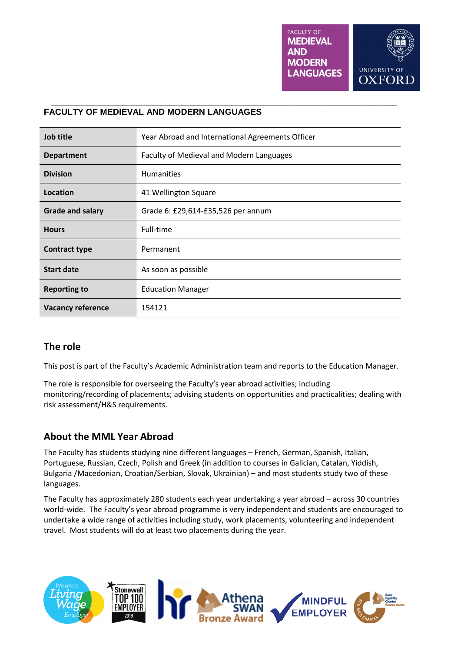

### **FACULTY OF MEDIEVAL AND MODERN LANGUAGES**

| Job title                | Year Abroad and International Agreements Officer |
|--------------------------|--------------------------------------------------|
| <b>Department</b>        | Faculty of Medieval and Modern Languages         |
| <b>Division</b>          | <b>Humanities</b>                                |
| Location                 | 41 Wellington Square                             |
| <b>Grade and salary</b>  | Grade 6: £29,614-£35,526 per annum               |
| <b>Hours</b>             | Full-time                                        |
| <b>Contract type</b>     | Permanent                                        |
| <b>Start date</b>        | As soon as possible                              |
| <b>Reporting to</b>      | <b>Education Manager</b>                         |
| <b>Vacancy reference</b> | 154121                                           |

**\_\_\_\_\_\_\_\_\_\_\_\_\_\_\_\_\_\_\_\_\_\_\_\_\_\_\_\_\_\_\_\_\_\_\_\_\_\_\_\_\_\_\_\_\_\_\_\_\_\_\_\_\_\_\_\_\_\_\_\_\_\_\_\_\_\_\_\_\_\_\_\_\_**

## **The role**

This post is part of the Faculty's Academic Administration team and reports to the Education Manager.

The role is responsible for overseeing the Faculty's year abroad activities; including monitoring/recording of placements; advising students on opportunities and practicalities; dealing with risk assessment/H&S requirements.

## **About the MML Year Abroad**

The Faculty has students studying nine different languages – French, German, Spanish, Italian, Portuguese, Russian, Czech, Polish and Greek (in addition to courses in Galician, Catalan, Yiddish, Bulgaria /Macedonian, Croatian/Serbian, Slovak, Ukrainian) – and most students study two of these languages.

The Faculty has approximately 280 students each year undertaking a year abroad – across 30 countries world-wide. The Faculty's year abroad programme is very independent and students are encouraged to undertake a wide range of activities including study, work placements, volunteering and independent travel. Most students will do at least two placements during the year.

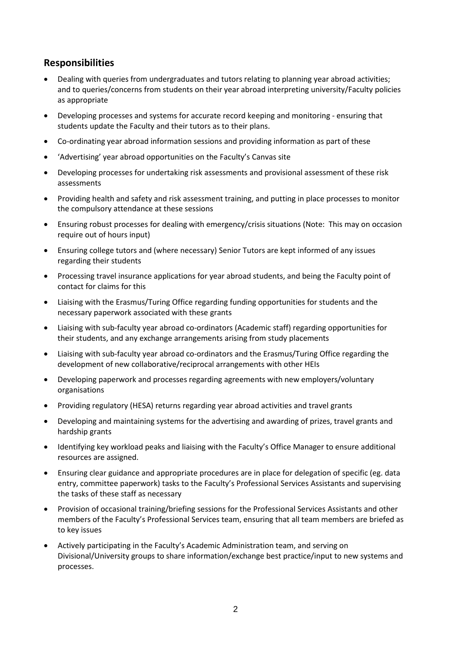## **Responsibilities**

- Dealing with queries from undergraduates and tutors relating to planning year abroad activities; and to queries/concerns from students on their year abroad interpreting university/Faculty policies as appropriate
- Developing processes and systems for accurate record keeping and monitoring ensuring that students update the Faculty and their tutors as to their plans.
- Co-ordinating year abroad information sessions and providing information as part of these
- 'Advertising' year abroad opportunities on the Faculty's Canvas site
- Developing processes for undertaking risk assessments and provisional assessment of these risk assessments
- Providing health and safety and risk assessment training, and putting in place processes to monitor the compulsory attendance at these sessions
- Ensuring robust processes for dealing with emergency/crisis situations (Note: This may on occasion require out of hours input)
- Ensuring college tutors and (where necessary) Senior Tutors are kept informed of any issues regarding their students
- Processing travel insurance applications for year abroad students, and being the Faculty point of contact for claims for this
- Liaising with the Erasmus/Turing Office regarding funding opportunities for students and the necessary paperwork associated with these grants
- Liaising with sub-faculty year abroad co-ordinators (Academic staff) regarding opportunities for their students, and any exchange arrangements arising from study placements
- Liaising with sub-faculty year abroad co-ordinators and the Erasmus/Turing Office regarding the development of new collaborative/reciprocal arrangements with other HEIs
- Developing paperwork and processes regarding agreements with new employers/voluntary organisations
- Providing regulatory (HESA) returns regarding year abroad activities and travel grants
- Developing and maintaining systems for the advertising and awarding of prizes, travel grants and hardship grants
- Identifying key workload peaks and liaising with the Faculty's Office Manager to ensure additional resources are assigned.
- Ensuring clear guidance and appropriate procedures are in place for delegation of specific (eg. data entry, committee paperwork) tasks to the Faculty's Professional Services Assistants and supervising the tasks of these staff as necessary
- Provision of occasional training/briefing sessions for the Professional Services Assistants and other members of the Faculty's Professional Services team, ensuring that all team members are briefed as to key issues
- Actively participating in the Faculty's Academic Administration team, and serving on Divisional/University groups to share information/exchange best practice/input to new systems and processes.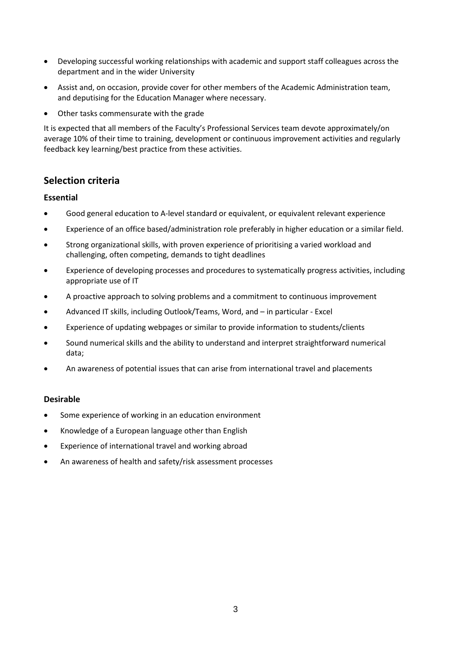- Developing successful working relationships with academic and support staff colleagues across the department and in the wider University
- Assist and, on occasion, provide cover for other members of the Academic Administration team, and deputising for the Education Manager where necessary.
- Other tasks commensurate with the grade

It is expected that all members of the Faculty's Professional Services team devote approximately/on average 10% of their time to training, development or continuous improvement activities and regularly feedback key learning/best practice from these activities.

## **Selection criteria**

#### **Essential**

- Good general education to A-level standard or equivalent, or equivalent relevant experience
- Experience of an office based/administration role preferably in higher education or a similar field.
- Strong organizational skills, with proven experience of prioritising a varied workload and challenging, often competing, demands to tight deadlines
- Experience of developing processes and procedures to systematically progress activities, including appropriate use of IT
- A proactive approach to solving problems and a commitment to continuous improvement
- Advanced IT skills, including Outlook/Teams, Word, and in particular Excel
- Experience of updating webpages or similar to provide information to students/clients
- Sound numerical skills and the ability to understand and interpret straightforward numerical data;
- An awareness of potential issues that can arise from international travel and placements

### **Desirable**

- Some experience of working in an education environment
- Knowledge of a European language other than English
- Experience of international travel and working abroad
- An awareness of health and safety/risk assessment processes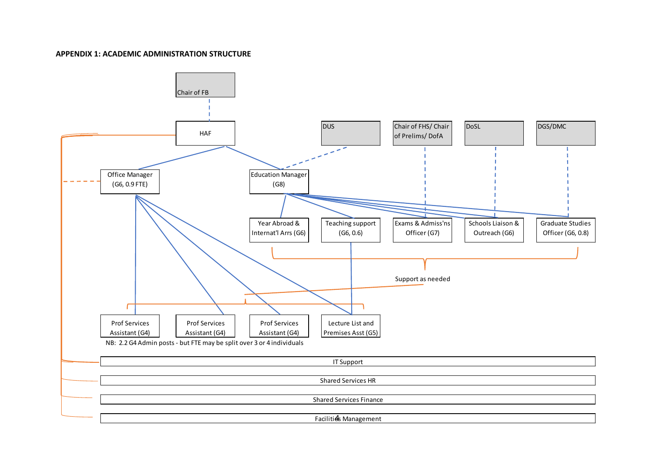#### **APPENDIX 1: ACADEMIC ADMINISTRATION STRUCTURE**

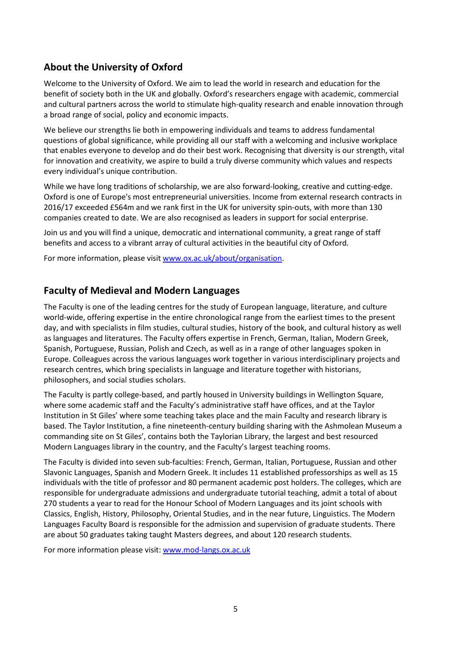## **About the University of Oxford**

Welcome to the University of Oxford. We aim to lead the world in research and education for the benefit of society both in the UK and globally. Oxford's researchers engage with academic, commercial and cultural partners across the world to stimulate high-quality research and enable innovation through a broad range of social, policy and economic impacts.

We believe our strengths lie both in empowering individuals and teams to address fundamental questions of global significance, while providing all our staff with a welcoming and inclusive workplace that enables everyone to develop and do their best work. Recognising that diversity is our strength, vital for innovation and creativity, we aspire to build a truly diverse community which values and respects every individual's unique contribution.

While we have long traditions of scholarship, we are also forward-looking, creative and cutting-edge. Oxford is one of Europe's most entrepreneurial universities. Income from external research contracts in 2016/17 exceeded £564m and we rank first in the UK for university spin-outs, with more than 130 companies created to date. We are also recognised as leaders in support for social enterprise.

Join us and you will find a unique, democratic and international community, a great range of staff benefits and access to a vibrant array of cultural activities in the beautiful city of Oxford.

For more information, please visit [www.ox.ac.uk/about/organisation.](http://www.ox.ac.uk/about/organisation)

## **Faculty of Medieval and Modern Languages**

The Faculty is one of the leading centres for the study of European language, literature, and culture world-wide, offering expertise in the entire chronological range from the earliest times to the present day, and with specialists in film studies, cultural studies, history of the book, and cultural history as well as languages and literatures. The Faculty offers expertise in French, German, Italian, Modern Greek, Spanish, Portuguese, Russian, Polish and Czech, as well as in a range of other languages spoken in Europe. Colleagues across the various languages work together in various interdisciplinary projects and research centres, which bring specialists in language and literature together with historians, philosophers, and social studies scholars.

The Faculty is partly college-based, and partly housed in University buildings in Wellington Square, where some academic staff and the Faculty's administrative staff have offices, and at the Taylor Institution in St Giles' where some teaching takes place and the main Faculty and research library is based. The Taylor Institution, a fine nineteenth-century building sharing with the Ashmolean Museum a commanding site on St Giles', contains both the Taylorian Library, the largest and best resourced Modern Languages library in the country, and the Faculty's largest teaching rooms.

The Faculty is divided into seven sub-faculties: French, German, Italian, Portuguese, Russian and other Slavonic Languages, Spanish and Modern Greek. It includes 11 established professorships as well as 15 individuals with the title of professor and 80 permanent academic post holders. The colleges, which are responsible for undergraduate admissions and undergraduate tutorial teaching, admit a total of about 270 students a year to read for the Honour School of Modern Languages and its joint schools with Classics, English, History, Philosophy, Oriental Studies, and in the near future, Linguistics. The Modern Languages Faculty Board is responsible for the admission and supervision of graduate students. There are about 50 graduates taking taught Masters degrees, and about 120 research students.

For more information please visit[: www.mod-langs.ox.ac.uk](http://www.mod-langs.ox.ac.uk/)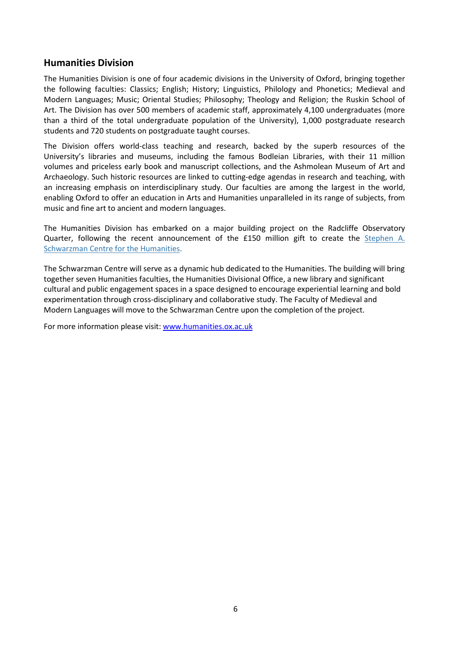## **Humanities Division**

The Humanities Division is one of four academic divisions in the University of Oxford, bringing together the following faculties: Classics; English; History; Linguistics, Philology and Phonetics; Medieval and Modern Languages; Music; Oriental Studies; Philosophy; Theology and Religion; the Ruskin School of Art. The Division has over 500 members of academic staff, approximately 4,100 undergraduates (more than a third of the total undergraduate population of the University), 1,000 postgraduate research students and 720 students on postgraduate taught courses.

The Division offers world-class teaching and research, backed by the superb resources of the University's libraries and museums, including the famous Bodleian Libraries, with their 11 million volumes and priceless early book and manuscript collections, and the Ashmolean Museum of Art and Archaeology. Such historic resources are linked to cutting-edge agendas in research and teaching, with an increasing emphasis on interdisciplinary study. Our faculties are among the largest in the world, enabling Oxford to offer an education in Arts and Humanities unparalleled in its range of subjects, from music and fine art to ancient and modern languages.

The Humanities Division has embarked on a major building project on the Radcliffe Observatory Quarter, following the recent announcement of the £150 million gift to create the [Stephen A.](http://www.schwarzmancentre.ox.ac.uk/)  [Schwarzman Centre for the Humanities.](http://www.schwarzmancentre.ox.ac.uk/)

The Schwarzman Centre will serve as a dynamic hub dedicated to the Humanities. The building will bring together seven Humanities faculties, the Humanities Divisional Office, a new library and significant cultural and public engagement spaces in a space designed to encourage experiential learning and bold experimentation through cross-disciplinary and collaborative study. The Faculty of Medieval and Modern Languages will move to the Schwarzman Centre upon the completion of the project.

For more information please visit[: www.humanities.ox.ac.uk](http://www.humanities.ox.ac.uk/)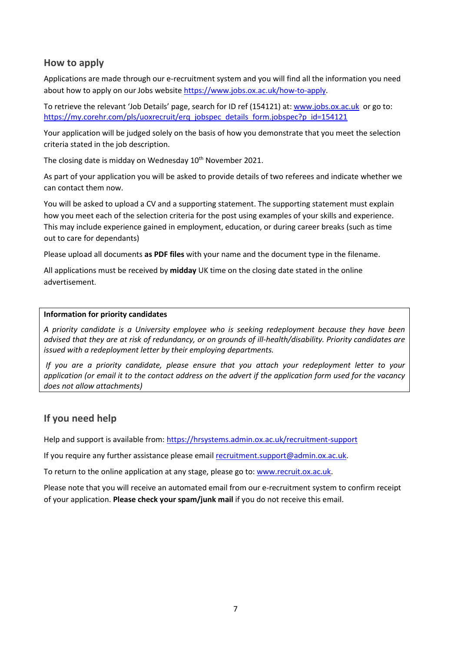## **How to apply**

Applications are made through our e-recruitment system and you will find all the information you need about how to apply on our Jobs websit[e https://www.jobs.ox.ac.uk/how-to-apply.](https://www.jobs.ox.ac.uk/how-to-apply)

To retrieve the relevant 'Job Details' page, search for ID ref (154121) at[: www.jobs.ox.ac.uk](http://www.jobs.ox.ac.uk/) or go to: [https://my.corehr.com/pls/uoxrecruit/erq\\_jobspec\\_details\\_form.jobspec?p\\_id=154121](https://my.corehr.com/pls/uoxrecruit/erq_jobspec_details_form.jobspec?p_id=154121)

Your application will be judged solely on the basis of how you demonstrate that you meet the selection criteria stated in the job description.

The closing date is midday on Wednesday 10<sup>th</sup> November 2021.

As part of your application you will be asked to provide details of two referees and indicate whether we can contact them now.

You will be asked to upload a CV and a supporting statement. The supporting statement must explain how you meet each of the selection criteria for the post using examples of your skills and experience. This may include experience gained in employment, education, or during career breaks (such as time out to care for dependants)

Please upload all documents **as PDF files** with your name and the document type in the filename.

All applications must be received by **midday** UK time on the closing date stated in the online advertisement.

#### **Information for priority candidates**

*A priority candidate is a University employee who is seeking redeployment because they have been advised that they are at risk of redundancy, or on grounds of ill-health/disability. Priority candidates are issued with a redeployment letter by their employing departments.* 

 *If you are a priority candidate, please ensure that you attach your redeployment letter to your application (or email it to the contact address on the advert if the application form used for the vacancy does not allow attachments)* 

## **If you need help**

Help and support is available from:<https://hrsystems.admin.ox.ac.uk/recruitment-support>

If you require any further assistance please emai[l recruitment.support@admin.ox.ac.uk.](mailto:recruitment.support@admin.ox.ac.uk)

To return to the online application at any stage, please go to: [www.recruit.ox.ac.uk.](http://www.recruit.ox.ac.uk/)

Please note that you will receive an automated email from our e-recruitment system to confirm receipt of your application. **Please check your spam/junk mail** if you do not receive this email.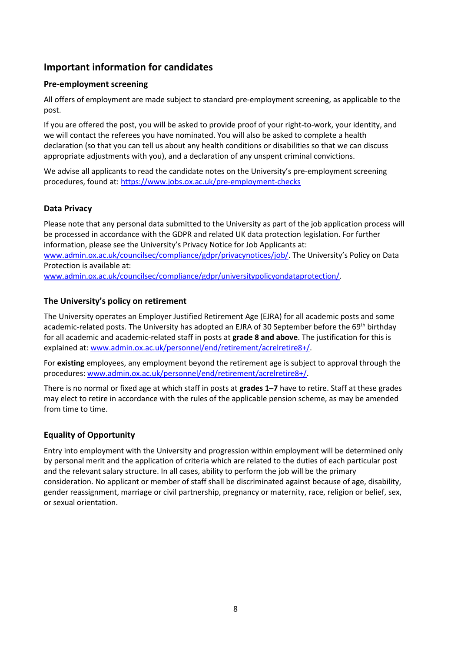## **Important information for candidates**

### **Pre-employment screening**

All offers of employment are made subject to standard pre-employment screening, as applicable to the post.

If you are offered the post, you will be asked to provide proof of your right-to-work, your identity, and we will contact the referees you have nominated. You will also be asked to complete a health declaration (so that you can tell us about any health conditions or disabilities so that we can discuss appropriate adjustments with you), and a declaration of any unspent criminal convictions.

We advise all applicants to read the candidate notes on the University's pre-employment screening procedures, found at:<https://www.jobs.ox.ac.uk/pre-employment-checks>

### **Data Privacy**

Please note that any personal data submitted to the University as part of the job application process will be processed in accordance with the GDPR and related UK data protection legislation. For further information, please see the University's Privacy Notice for Job Applicants at: [www.admin.ox.ac.uk/councilsec/compliance/gdpr/privacynotices/job/.](http://www.admin.ox.ac.uk/councilsec/compliance/gdpr/privacynotices/job/) The University's Policy on Data Protection is available at: [www.admin.ox.ac.uk/councilsec/compliance/gdpr/universitypolicyondataprotection/.](http://www.admin.ox.ac.uk/councilsec/compliance/gdpr/universitypolicyondataprotection/)

## **The University's policy on retirement**

The University operates an Employer Justified Retirement Age (EJRA) for all academic posts and some academic-related posts. The University has adopted an EJRA of 30 September before the 69<sup>th</sup> birthday for all academic and academic-related staff in posts at **grade 8 and above**. The justification for this is explained at: [www.admin.ox.ac.uk/personnel/end/retirement/acrelretire8+/.](http://www.admin.ox.ac.uk/personnel/end/retirement/acrelretire8+/)

For **existing** employees, any employment beyond the retirement age is subject to approval through the procedures: [www.admin.ox.ac.uk/personnel/end/retirement/acrelretire8+/.](http://www.admin.ox.ac.uk/personnel/end/retirement/acrelretire8+/)

There is no normal or fixed age at which staff in posts at **grades 1–7** have to retire. Staff at these grades may elect to retire in accordance with the rules of the applicable pension scheme, as may be amended from time to time.

## **Equality of Opportunity**

Entry into employment with the University and progression within employment will be determined only by personal merit and the application of criteria which are related to the duties of each particular post and the relevant salary structure. In all cases, ability to perform the job will be the primary consideration. No applicant or member of staff shall be discriminated against because of age, disability, gender reassignment, marriage or civil partnership, pregnancy or maternity, race, religion or belief, sex, or sexual orientation.